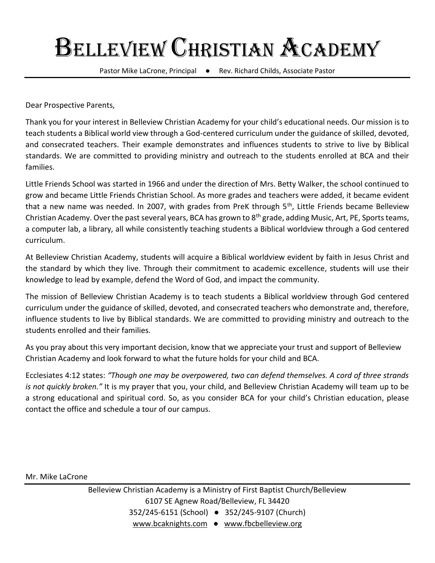Pastor Mike LaCrone, Principal ● Rev. Richard Childs, Associate Pastor

Dear Prospective Parents,

Thank you for your interest in Belleview Christian Academy for your child's educational needs. Our mission is to teach students a Biblical world view through a God-centered curriculum under the guidance of skilled, devoted, and consecrated teachers. Their example demonstrates and influences students to strive to live by Biblical standards. We are committed to providing ministry and outreach to the students enrolled at BCA and their families.

Little Friends School was started in 1966 and under the direction of Mrs. Betty Walker, the school continued to grow and became Little Friends Christian School. As more grades and teachers were added, it became evident that a new name was needed. In 2007, with grades from PreK through 5<sup>th</sup>, Little Friends became Belleview Christian Academy. Over the past several years, BCA has grown to 8<sup>th</sup> grade, adding Music, Art, PE, Sports teams, a computer lab, a library, all while consistently teaching students a Biblical worldview through a God centered curriculum.

At Belleview Christian Academy, students will acquire a Biblical worldview evident by faith in Jesus Christ and the standard by which they live. Through their commitment to academic excellence, students will use their knowledge to lead by example, defend the Word of God, and impact the community.

The mission of Belleview Christian Academy is to teach students a Biblical worldview through God centered curriculum under the guidance of skilled, devoted, and consecrated teachers who demonstrate and, therefore, influence students to live by Biblical standards. We are committed to providing ministry and outreach to the students enrolled and their families.

As you pray about this very important decision, know that we appreciate your trust and support of Belleview Christian Academy and look forward to what the future holds for your child and BCA.

Ecclesiates 4:12 states: *"Though one may be overpowered, two can defend themselves. A cord of three strands is not quickly broken."* It is my prayer that you, your child, and Belleview Christian Academy will team up to be a strong educational and spiritual cord. So, as you consider BCA for your child's Christian education, please contact the office and schedule a tour of our campus.

Mr. Mike LaCrone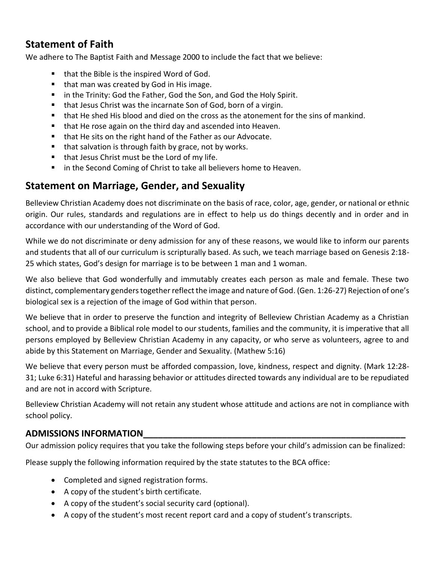# **Statement of Faith**

We adhere to The Baptist Faith and Message 2000 to include the fact that we believe:

- that the Bible is the inspired Word of God.
- that man was created by God in His image.
- in the Trinity: God the Father, God the Son, and God the Holy Spirit.
- that Jesus Christ was the incarnate Son of God, born of a virgin.
- that He shed His blood and died on the cross as the atonement for the sins of mankind.
- that He rose again on the third day and ascended into Heaven.
- that He sits on the right hand of the Father as our Advocate.
- that salvation is through faith by grace, not by works.
- that Jesus Christ must be the Lord of my life.
- in the Second Coming of Christ to take all believers home to Heaven.

# **Statement on Marriage, Gender, and Sexuality**

Belleview Christian Academy does not discriminate on the basis of race, color, age, gender, or national or ethnic origin. Our rules, standards and regulations are in effect to help us do things decently and in order and in accordance with our understanding of the Word of God.

While we do not discriminate or deny admission for any of these reasons, we would like to inform our parents and students that all of our curriculum is scripturally based. As such, we teach marriage based on Genesis 2:18- 25 which states, God's design for marriage is to be between 1 man and 1 woman.

We also believe that God wonderfully and immutably creates each person as male and female. These two distinct, complementary genders together reflect the image and nature of God. (Gen. 1:26-27) Rejection of one's biological sex is a rejection of the image of God within that person.

We believe that in order to preserve the function and integrity of Belleview Christian Academy as a Christian school, and to provide a Biblical role model to our students, families and the community, it is imperative that all persons employed by Belleview Christian Academy in any capacity, or who serve as volunteers, agree to and abide by this Statement on Marriage, Gender and Sexuality. (Mathew 5:16)

We believe that every person must be afforded compassion, love, kindness, respect and dignity. (Mark 12:28- 31; Luke 6:31) Hateful and harassing behavior or attitudes directed towards any individual are to be repudiated and are not in accord with Scripture.

Belleview Christian Academy will not retain any student whose attitude and actions are not in compliance with school policy.

# **ADMISSIONS INFORMATION\_\_\_\_\_\_\_\_\_\_\_\_\_\_\_\_\_\_\_\_\_\_\_\_\_\_\_\_\_\_\_\_\_\_\_\_\_\_\_\_\_\_\_\_\_\_\_\_\_\_\_\_\_**

Our admission policy requires that you take the following steps before your child's admission can be finalized:

Please supply the following information required by the state statutes to the BCA office:

- Completed and signed registration forms.
- A copy of the student's birth certificate.
- A copy of the student's social security card (optional).
- A copy of the student's most recent report card and a copy of student's transcripts.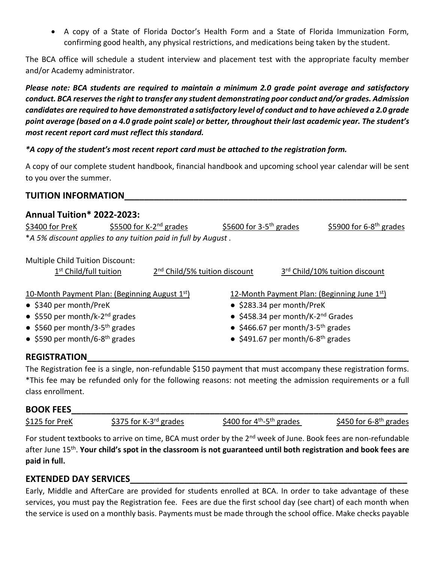• A copy of a State of Florida Doctor's Health Form and a State of Florida Immunization Form, confirming good health, any physical restrictions, and medications being taken by the student.

The BCA office will schedule a student interview and placement test with the appropriate faculty member and/or Academy administrator.

*Please note: BCA students are required to maintain a minimum 2.0 grade point average and satisfactory conduct. BCA reserves the right to transfer any student demonstrating poor conduct and/or grades. Admission candidates are required to have demonstrated a satisfactory level of conduct and to have achieved a 2.0 grade point average (based on a 4.0 grade point scale) or better, throughout their last academic year. The student's most recent report card must reflect this standard.* 

## *\*A copy of the student's most recent report card must be attached to the registration form.*

A copy of our complete student handbook, financial handbook and upcoming school year calendar will be sent to you over the summer.

# **TUITION INFORMATION\_\_\_\_\_\_\_\_\_\_\_\_\_\_\_\_\_\_\_\_\_\_\_\_\_\_\_\_\_\_\_\_\_\_\_\_\_\_\_\_\_\_\_\_\_\_\_\_\_\_\_\_\_\_\_\_\_**

## **Annual Tuition\* 2022-2023:**

| \$3400 for PreK                                               |  | \$5500 for K-2 <sup>nd</sup> grades                   | \$5600 for $3-5$ <sup>th</sup> grades         |  | \$5900 for $6-8$ <sup>th</sup> grades          |
|---------------------------------------------------------------|--|-------------------------------------------------------|-----------------------------------------------|--|------------------------------------------------|
| *A 5% discount applies to any tuition paid in full by August. |  |                                                       |                                               |  |                                                |
| <b>Multiple Child Tuition Discount:</b>                       |  |                                                       |                                               |  |                                                |
| 1 <sup>st</sup> Child/full tuition                            |  | 2 <sup>nd</sup> Child/5% tuition discount             |                                               |  | 3rd Child/10% tuition discount                 |
| 10-Month Payment Plan: (Beginning August $1st$ )              |  |                                                       |                                               |  | 12-Month Payment Plan: (Beginning June $1st$ ) |
| • \$340 per month/PreK                                        |  | • \$283.34 per month/PreK                             |                                               |  |                                                |
| • \$550 per month/k-2 <sup>nd</sup> grades                    |  | $\bullet$ \$458.34 per month/K-2 <sup>nd</sup> Grades |                                               |  |                                                |
| • \$560 per month/3-5 <sup>th</sup> grades                    |  |                                                       | • \$466.67 per month/3-5 <sup>th</sup> grades |  |                                                |

<sup>th</sup> grades **exercises** ● \$491.67 per month/6-8<sup>th</sup> grades

# **REGISTRATION\_\_\_\_\_\_\_\_\_\_\_\_\_\_\_\_\_\_\_\_\_\_\_\_\_\_\_\_\_\_\_\_\_\_\_\_\_\_\_\_\_\_\_\_\_\_\_\_\_\_\_\_\_\_\_\_\_\_\_\_\_\_\_\_\_**

● \$590 per month/6-8

The Registration fee is a single, non-refundable \$150 payment that must accompany these registration forms. \*This fee may be refunded only for the following reasons: not meeting the admission requirements or a full class enrollment.

## **BOOK FEES**

| \$125 for PreK | \$375 for K-3 $rd$ grades | \$400 for $4th - 5th$ grades | \$450 for 6-8 <sup>th</sup> grades |
|----------------|---------------------------|------------------------------|------------------------------------|
|----------------|---------------------------|------------------------------|------------------------------------|

For student textbooks to arrive on time, BCA must order by the 2<sup>nd</sup> week of June. Book fees are non-refundable after June 15th . **Your child's spot in the classroom is not guaranteed until both registration and book fees are paid in full.**

# **EXTENDED DAY SERVICES\_\_\_\_\_\_\_\_\_\_\_\_\_\_\_\_\_\_\_\_\_\_\_\_\_\_\_\_\_\_\_\_\_\_\_\_\_\_\_\_\_\_\_\_\_\_\_\_\_\_\_\_\_\_\_\_**

Early, Middle and AfterCare are provided for students enrolled at BCA. In order to take advantage of these services, you must pay the Registration fee. Fees are due the first school day (see chart) of each month when the service is used on a monthly basis. Payments must be made through the school office. Make checks payable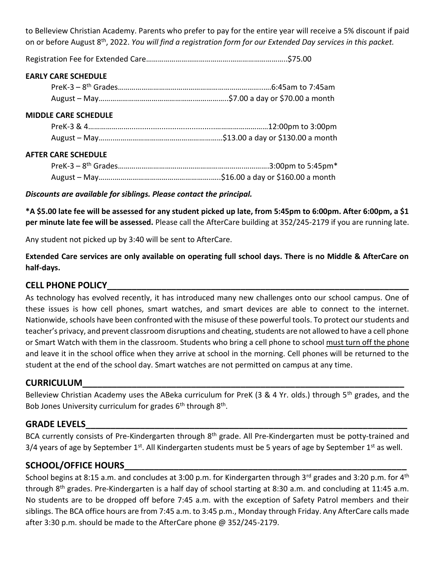to Belleview Christian Academy. Parents who prefer to pay for the entire year will receive a 5% discount if paid on or before August 8<sup>th</sup>, 2022. *You will find a registration form for our Extended Day services in this packet.* 

Registration Fee for Extended Care…………………………………….………………………..\$75.00

### **EARLY CARE SCHEDULE**

### **MIDDLE CARE SCHEDULE**

#### **AFTER CARE SCHEDULE**

*Discounts are available for siblings. Please contact the principal.*

**\*A \$5.00 late fee will be assessed for any student picked up late, from 5:45pm to 6:00pm. After 6:00pm, a \$1 per minute late fee will be assessed.** Please call the AfterCare building at 352/245-2179 if you are running late.

Any student not picked up by 3:40 will be sent to AfterCare.

**Extended Care services are only available on operating full school days. There is no Middle & AfterCare on half-days.**

# **CELL PHONE POLICY\_\_\_\_\_\_\_\_\_\_\_\_\_\_\_\_\_\_\_\_\_\_\_\_\_\_\_\_\_\_\_\_\_\_\_\_\_\_\_\_\_\_\_\_\_\_\_\_\_\_\_\_\_\_\_\_\_\_\_\_\_**

As technology has evolved recently, it has introduced many new challenges onto our school campus. One of these issues is how cell phones, smart watches, and smart devices are able to connect to the internet. Nationwide, schools have been confronted with the misuse of these powerful tools. To protect our students and teacher's privacy, and prevent classroom disruptions and cheating, students are not allowed to have a cell phone or Smart Watch with them in the classroom. Students who bring a cell phone to school must turn off the phone and leave it in the school office when they arrive at school in the morning. Cell phones will be returned to the student at the end of the school day. Smart watches are not permitted on campus at any time.

## **CURRICULUM\_\_\_\_\_\_\_\_\_\_\_\_\_\_\_\_\_\_\_\_\_\_\_\_\_\_\_\_\_\_\_\_\_\_\_\_\_\_\_\_\_\_\_\_\_\_\_\_\_\_\_\_\_\_\_\_\_\_\_\_\_\_\_\_\_**

Belleview Christian Academy uses the ABeka curriculum for PreK (3 & 4 Yr. olds.) through 5<sup>th</sup> grades, and the Bob Jones University curriculum for grades 6<sup>th</sup> through 8<sup>th</sup>.

## **GRADE LEVELS\_\_\_\_\_\_\_\_\_\_\_\_\_\_\_\_\_\_\_\_\_\_\_\_\_\_\_\_\_\_\_\_\_\_\_\_\_\_\_\_\_\_\_\_\_\_\_\_\_\_\_\_\_\_\_\_\_\_\_\_\_\_\_\_\_**

BCA currently consists of Pre-Kindergarten through 8<sup>th</sup> grade. All Pre-Kindergarten must be potty-trained and 3/4 years of age by September 1<sup>st</sup>. All Kindergarten students must be 5 years of age by September 1<sup>st</sup> as well.

# **SCHOOL/OFFICE HOURS\_\_\_\_\_\_\_\_\_\_\_\_\_\_\_\_\_\_\_\_\_\_\_\_\_\_\_\_\_\_\_\_\_\_\_\_\_\_\_\_\_\_\_\_\_\_\_\_\_\_\_\_\_\_\_\_\_**

School begins at 8:15 a.m. and concludes at 3:00 p.m. for Kindergarten through 3<sup>rd</sup> grades and 3:20 p.m. for 4<sup>th</sup> through 8<sup>th</sup> grades. Pre-Kindergarten is a half day of school starting at 8:30 a.m. and concluding at 11:45 a.m. No students are to be dropped off before 7:45 a.m. with the exception of Safety Patrol members and their siblings. The BCA office hours are from 7:45 a.m. to 3:45 p.m., Monday through Friday. Any AfterCare calls made after 3:30 p.m. should be made to the AfterCare phone @ 352/245-2179.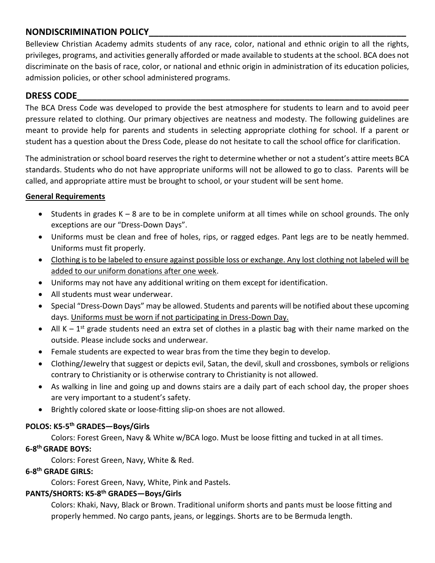# **NONDISCRIMINATION POLICY\_\_\_\_\_\_\_\_\_\_\_\_\_\_\_\_\_\_\_\_\_\_\_\_\_\_\_\_\_\_\_\_\_\_\_\_\_\_\_\_\_\_\_\_\_\_\_\_\_\_\_\_**

Belleview Christian Academy admits students of any race, color, national and ethnic origin to all the rights, privileges, programs, and activities generally afforded or made available to students at the school. BCA does not discriminate on the basis of race, color, or national and ethnic origin in administration of its education policies, admission policies, or other school administered programs.

# **DRESS CODE\_\_\_\_\_\_\_\_\_\_\_\_\_\_\_\_\_\_\_\_\_\_\_\_\_\_\_\_\_\_\_\_\_\_\_\_\_\_\_\_\_\_\_\_\_\_\_\_\_\_\_\_\_\_\_\_\_\_\_\_\_\_\_\_\_\_\_**

The BCA Dress Code was developed to provide the best atmosphere for students to learn and to avoid peer pressure related to clothing. Our primary objectives are neatness and modesty. The following guidelines are meant to provide help for parents and students in selecting appropriate clothing for school. If a parent or student has a question about the Dress Code, please do not hesitate to call the school office for clarification.

The administration or school board reserves the right to determine whether or not a student's attire meets BCA standards. Students who do not have appropriate uniforms will not be allowed to go to class. Parents will be called, and appropriate attire must be brought to school, or your student will be sent home.

### **General Requirements**

- Students in grades  $K 8$  are to be in complete uniform at all times while on school grounds. The only exceptions are our "Dress-Down Days".
- Uniforms must be clean and free of holes, rips, or ragged edges. Pant legs are to be neatly hemmed. Uniforms must fit properly.
- Clothing is to be labeled to ensure against possible loss or exchange. Any lost clothing not labeled will be added to our uniform donations after one week.
- Uniforms may not have any additional writing on them except for identification.
- All students must wear underwear.
- Special "Dress-Down Days" may be allowed. Students and parents will be notified about these upcoming days. Uniforms must be worn if not participating in Dress-Down Day.
- All  $K 1^{st}$  grade students need an extra set of clothes in a plastic bag with their name marked on the outside. Please include socks and underwear.
- Female students are expected to wear bras from the time they begin to develop.
- Clothing/Jewelry that suggest or depicts evil, Satan, the devil, skull and crossbones, symbols or religions contrary to Christianity or is otherwise contrary to Christianity is not allowed.
- As walking in line and going up and downs stairs are a daily part of each school day, the proper shoes are very important to a student's safety.
- Brightly colored skate or loose-fitting slip-on shoes are not allowed.

### **POLOS: K5-5 th GRADES—Boys/Girls**

Colors: Forest Green, Navy & White w/BCA logo. Must be loose fitting and tucked in at all times. **6-8 th GRADE BOYS:**

Colors: Forest Green, Navy, White & Red.

## **6-8 th GRADE GIRLS:**

Colors: Forest Green, Navy, White, Pink and Pastels.

### **PANTS/SHORTS: K5-8 th GRADES—Boys/Girls**

Colors: Khaki, Navy, Black or Brown. Traditional uniform shorts and pants must be loose fitting and properly hemmed. No cargo pants, jeans, or leggings. Shorts are to be Bermuda length.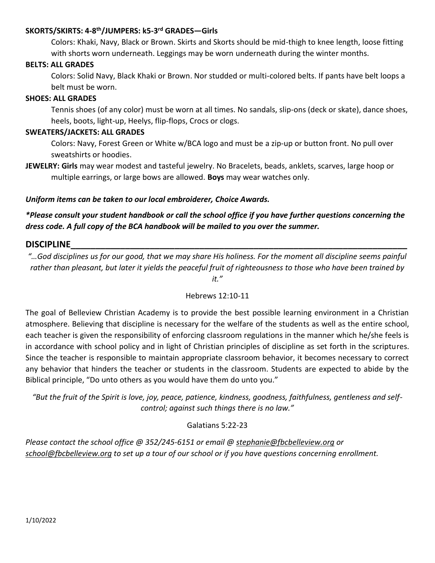### **SKORTS/SKIRTS: 4-8 th/JUMPERS: k5-3 rd GRADES—Girls**

Colors: Khaki, Navy, Black or Brown. Skirts and Skorts should be mid-thigh to knee length, loose fitting with shorts worn underneath. Leggings may be worn underneath during the winter months.

#### **BELTS: ALL GRADES**

Colors: Solid Navy, Black Khaki or Brown. Nor studded or multi-colored belts. If pants have belt loops a belt must be worn.

#### **SHOES: ALL GRADES**

Tennis shoes (of any color) must be worn at all times. No sandals, slip-ons (deck or skate), dance shoes, heels, boots, light-up, Heelys, flip-flops, Crocs or clogs.

#### **SWEATERS/JACKETS: ALL GRADES**

Colors: Navy, Forest Green or White w/BCA logo and must be a zip-up or button front. No pull over sweatshirts or hoodies.

**JEWELRY: Girls** may wear modest and tasteful jewelry. No Bracelets, beads, anklets, scarves, large hoop or multiple earrings, or large bows are allowed. **Boys** may wear watches only.

#### *Uniform items can be taken to our local embroiderer, Choice Awards.*

*\*Please consult your student handbook or call the school office if you have further questions concerning the dress code. A full copy of the BCA handbook will be mailed to you over the summer.*

# **DISCIPLINE\_\_\_\_\_\_\_\_\_\_\_\_\_\_\_\_\_\_\_\_\_\_\_\_\_\_\_\_\_\_\_\_\_\_\_\_\_\_\_\_\_\_\_\_\_\_\_\_\_\_\_\_\_\_\_\_\_\_\_\_\_\_\_\_\_\_\_\_**

*"…God disciplines us for our good, that we may share His holiness. For the moment all discipline seems painful rather than pleasant, but later it yields the peaceful fruit of righteousness to those who have been trained by* 

*it."*

#### Hebrews 12:10-11

The goal of Belleview Christian Academy is to provide the best possible learning environment in a Christian atmosphere. Believing that discipline is necessary for the welfare of the students as well as the entire school, each teacher is given the responsibility of enforcing classroom regulations in the manner which he/she feels is in accordance with school policy and in light of Christian principles of discipline as set forth in the scriptures. Since the teacher is responsible to maintain appropriate classroom behavior, it becomes necessary to correct any behavior that hinders the teacher or students in the classroom. Students are expected to abide by the Biblical principle, "Do unto others as you would have them do unto you."

*"But the fruit of the Spirit is love, joy, peace, patience, kindness, goodness, faithfulness, gentleness and selfcontrol; against such things there is no law."*

### Galatians 5:22-23

*Please contact the school office @ 352/245-6151 or email @ [stephanie@fbcbelleview.org](mailto:stephanie@fbcbelleview.org) or [school@fbcbelleview.org](mailto:school@fbcbelleview.org) to set up a tour of our school or if you have questions concerning enrollment.*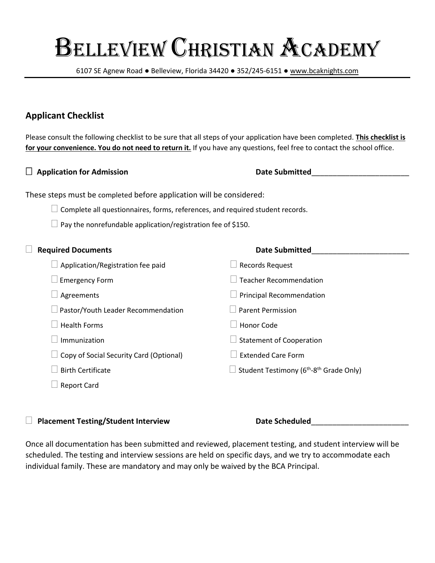6107 SE Agnew Road ● Belleview, Florida 34420 ● 352/245-6151 ● [www.bcaknights.com](http://www.bcaknights.com/)

# **Applicant Checklist**

Please consult the following checklist to be sure that all steps of your application have been completed. **This checklist is for your convenience. You do not need to return it.** If you have any questions, feel free to contact the school office.

| <b>Application for Admission</b>                                              | <b>Date Submitted</b>                                           |
|-------------------------------------------------------------------------------|-----------------------------------------------------------------|
| These steps must be completed before application will be considered:          |                                                                 |
| Complete all questionnaires, forms, references, and required student records. |                                                                 |
| Pay the nonrefundable application/registration fee of \$150.                  |                                                                 |
| <b>Required Documents</b>                                                     | <b>Date Submitted</b>                                           |
| Application/Registration fee paid                                             | <b>Records Request</b>                                          |
| <b>Emergency Form</b>                                                         | <b>Teacher Recommendation</b>                                   |
| Agreements                                                                    | <b>Principal Recommendation</b>                                 |
| Pastor/Youth Leader Recommendation                                            | <b>Parent Permission</b>                                        |
| <b>Health Forms</b>                                                           | Honor Code                                                      |
| Immunization                                                                  | $\Box$ Statement of Cooperation                                 |
| Copy of Social Security Card (Optional)                                       | <b>Extended Care Form</b>                                       |
| <b>Birth Certificate</b>                                                      | Student Testimony (6 <sup>th</sup> -8 <sup>th</sup> Grade Only) |
| <b>Report Card</b>                                                            |                                                                 |
|                                                                               |                                                                 |

□ Placement Testing/Student Interview **Date Scheduled** 

Once all documentation has been submitted and reviewed, placement testing, and student interview will be scheduled. The testing and interview sessions are held on specific days, and we try to accommodate each individual family. These are mandatory and may only be waived by the BCA Principal.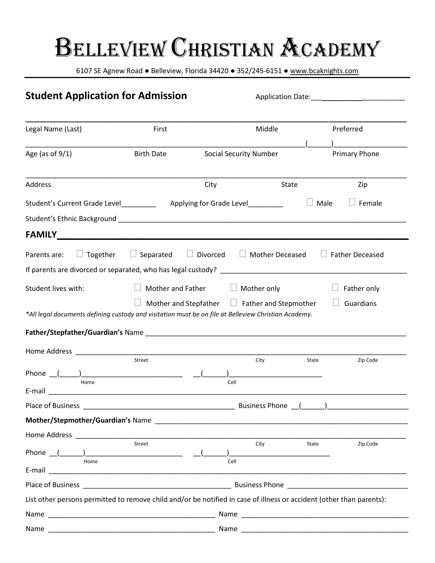6107 SE Agnew Road ● Belleview, Florida 34420 ● 352/245-6151 ● [www.bcaknights.com](http://www.bcaknights.com/)

| <b>Student Application for Admission</b>                                                                                                                                                                                             |                   |                                                    |                               |       |                        |
|--------------------------------------------------------------------------------------------------------------------------------------------------------------------------------------------------------------------------------------|-------------------|----------------------------------------------------|-------------------------------|-------|------------------------|
|                                                                                                                                                                                                                                      |                   |                                                    |                               |       |                        |
| Legal Name (Last)                                                                                                                                                                                                                    | First             |                                                    | Middle                        |       | Preferred              |
| Age (as of $9/1$ )                                                                                                                                                                                                                   | <b>Birth Date</b> |                                                    | <b>Social Security Number</b> |       | Primary Phone          |
| <b>Address</b>                                                                                                                                                                                                                       |                   | City                                               |                               | State | Zip                    |
| Student's Current Grade Level_______________ Applying for Grade Level___________                                                                                                                                                     |                   |                                                    |                               | Male  | Female                 |
|                                                                                                                                                                                                                                      |                   |                                                    |                               |       |                        |
|                                                                                                                                                                                                                                      |                   |                                                    |                               |       |                        |
| $\Box$ Together<br>Parents are:                                                                                                                                                                                                      | $\Box$ Separated  | Divorced                                           | $\Box$ Mother Deceased        |       | <b>Father Deceased</b> |
|                                                                                                                                                                                                                                      |                   |                                                    |                               |       |                        |
| Student lives with:                                                                                                                                                                                                                  | Mother and Father |                                                    | Mother only                   |       | Father only            |
| *All legal documents defining custody and visitation must be on file at Belleview Christian Academy.                                                                                                                                 |                   | Mother and Stepfather $\Box$ Father and Stepmother |                               |       | Guardians              |
| Home Address and the state of the state of the state of the state of the state of the state of the state of the state of the state of the state of the state of the state of the state of the state of the state of the state        |                   |                                                    |                               |       |                        |
| Phone $($ $)$                                                                                                                                                                                                                        | Street            |                                                    | City                          | State | Zip Code               |
| Home                                                                                                                                                                                                                                 |                   | Cell                                               |                               |       |                        |
| E-mail <b>E-mail E-mail E-mail E-mail E-mail</b>                                                                                                                                                                                     |                   |                                                    |                               |       |                        |
| Place of Business                                                                                                                                                                                                                    |                   |                                                    | <b>Business Phone</b>         |       |                        |
|                                                                                                                                                                                                                                      |                   |                                                    |                               |       |                        |
|                                                                                                                                                                                                                                      | Street            |                                                    | City                          | State | Zip Code               |
|                                                                                                                                                                                                                                      |                   |                                                    |                               |       |                        |
| Home                                                                                                                                                                                                                                 |                   | Cell                                               |                               |       |                        |
| Place of Business <b>Contract Contract Contract Contract Contract Contract Contract Contract Contract Contract Contract Contract Contract Contract Contract Contract Contract Contract Contract Contract Contract Contract Contr</b> |                   |                                                    |                               |       |                        |
| List other persons permitted to remove child and/or be notified in case of illness or accident (other than parents):                                                                                                                 |                   |                                                    |                               |       |                        |
|                                                                                                                                                                                                                                      |                   |                                                    |                               |       |                        |
|                                                                                                                                                                                                                                      |                   |                                                    |                               |       |                        |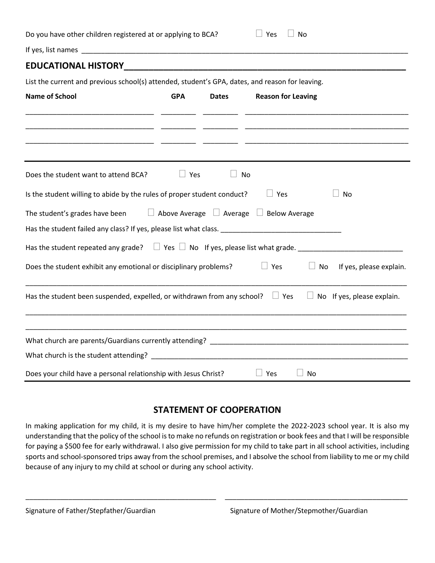| Do you have other children registered at or applying to BCA?                                                                           |            |              | Yes                                                      | No                                                               |
|----------------------------------------------------------------------------------------------------------------------------------------|------------|--------------|----------------------------------------------------------|------------------------------------------------------------------|
|                                                                                                                                        |            |              |                                                          |                                                                  |
|                                                                                                                                        |            |              |                                                          |                                                                  |
| List the current and previous school(s) attended, student's GPA, dates, and reason for leaving.                                        |            |              |                                                          |                                                                  |
| <b>Name of School</b>                                                                                                                  | <b>GPA</b> | <b>Dates</b> | <b>Reason for Leaving</b>                                | <u> 1989 - Andrea Stadt Britain, amerikansk politik (* 1908)</u> |
|                                                                                                                                        |            |              |                                                          |                                                                  |
| Does the student want to attend BCA?                                                                                                   | $\Box$ Yes |              | No                                                       |                                                                  |
| Is the student willing to abide by the rules of proper student conduct?                                                                |            |              | $\Box$ Yes                                               | No                                                               |
| The student's grades have been<br>Has the student failed any class? If yes, please list what class. __________________________________ |            |              | $\Box$ Above Average $\Box$ Average $\Box$ Below Average |                                                                  |
| Has the student repeated any grade? $\Box$ Yes $\Box$ No If yes, please list what grade.                                               |            |              |                                                          |                                                                  |
| Does the student exhibit any emotional or disciplinary problems?                                                                       |            |              | $\Box$ Yes                                               | No<br>If yes, please explain.                                    |
| Has the student been suspended, expelled, or withdrawn from any school? $\Box$ Yes $\Box$ No If yes, please explain.                   |            |              |                                                          |                                                                  |
|                                                                                                                                        |            |              |                                                          |                                                                  |
|                                                                                                                                        |            |              |                                                          |                                                                  |
| Does your child have a personal relationship with Jesus Christ?                                                                        |            |              | $\Box$ Yes                                               | No.                                                              |

# **STATEMENT OF COOPERATION**

In making application for my child, it is my desire to have him/her complete the 2022-2023 school year. It is also my understanding that the policy of the school is to make no refunds on registration or book fees and that I will be responsible for paying a \$500 fee for early withdrawal. I also give permission for my child to take part in all school activities, including sports and school-sponsored trips away from the school premises, and I absolve the school from liability to me or my child because of any injury to my child at school or during any school activity.

\_\_\_\_\_\_\_\_\_\_\_\_\_\_\_\_\_\_\_\_\_\_\_\_\_\_\_\_\_\_\_\_\_\_\_\_\_\_\_\_\_\_\_\_\_\_\_\_\_ \_\_\_\_\_\_\_\_\_\_\_\_\_\_\_\_\_\_\_\_\_\_\_\_\_\_\_\_\_\_\_\_\_\_\_\_\_\_\_\_\_\_\_\_\_\_\_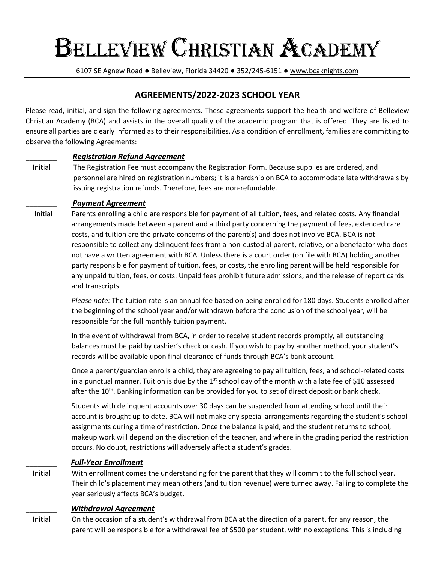6107 SE Agnew Road ● Belleview, Florida 34420 ● 352/245-6151 ● [www.bcaknights.com](http://www.bcaknights.com/)

# **AGREEMENTS/2022-2023 SCHOOL YEAR**

Please read, initial, and sign the following agreements. These agreements support the health and welfare of Belleview Christian Academy (BCA) and assists in the overall quality of the academic program that is offered. They are listed to ensure all parties are clearly informed as to their responsibilities. As a condition of enrollment, families are committing to observe the following Agreements:

#### \_\_\_\_\_\_\_\_ *Registration Refund Agreement*

 Initial The Registration Fee must accompany the Registration Form. Because supplies are ordered, and personnel are hired on registration numbers; it is a hardship on BCA to accommodate late withdrawals by issuing registration refunds. Therefore, fees are non-refundable.

#### \_\_\_\_\_\_\_\_ *Payment Agreement*

 Initial Parents enrolling a child are responsible for payment of all tuition, fees, and related costs. Any financial arrangements made between a parent and a third party concerning the payment of fees, extended care costs, and tuition are the private concerns of the parent(s) and does not involve BCA. BCA is not responsible to collect any delinquent fees from a non-custodial parent, relative, or a benefactor who does not have a written agreement with BCA. Unless there is a court order (on file with BCA) holding another party responsible for payment of tuition, fees, or costs, the enrolling parent will be held responsible for any unpaid tuition, fees, or costs. Unpaid fees prohibit future admissions, and the release of report cards and transcripts.

> *Please note:* The tuition rate is an annual fee based on being enrolled for 180 days. Students enrolled after the beginning of the school year and/or withdrawn before the conclusion of the school year, will be responsible for the full monthly tuition payment.

 In the event of withdrawal from BCA, in order to receive student records promptly, all outstanding balances must be paid by cashier's check or cash. If you wish to pay by another method, your student's records will be available upon final clearance of funds through BCA's bank account.

 Once a parent/guardian enrolls a child, they are agreeing to pay all tuition, fees, and school-related costs in a punctual manner. Tuition is due by the  $1<sup>st</sup>$  school day of the month with a late fee of \$10 assessed after the 10<sup>th</sup>. Banking information can be provided for you to set of direct deposit or bank check.

> Students with delinquent accounts over 30 days can be suspended from attending school until their account is brought up to date. BCA will not make any special arrangements regarding the student's school assignments during a time of restriction. Once the balance is paid, and the student returns to school, makeup work will depend on the discretion of the teacher, and where in the grading period the restriction occurs. No doubt, restrictions will adversely affect a student's grades.

#### \_\_\_\_\_\_\_\_ *Full-Year Enrollment*

 Initial With enrollment comes the understanding for the parent that they will commit to the full school year. Their child's placement may mean others (and tuition revenue) were turned away. Failing to complete the year seriously affects BCA's budget.

#### \_\_\_\_\_\_\_\_ *Withdrawal Agreement*

 Initial On the occasion of a student's withdrawal from BCA at the direction of a parent, for any reason, the parent will be responsible for a withdrawal fee of \$500 per student, with no exceptions. This is including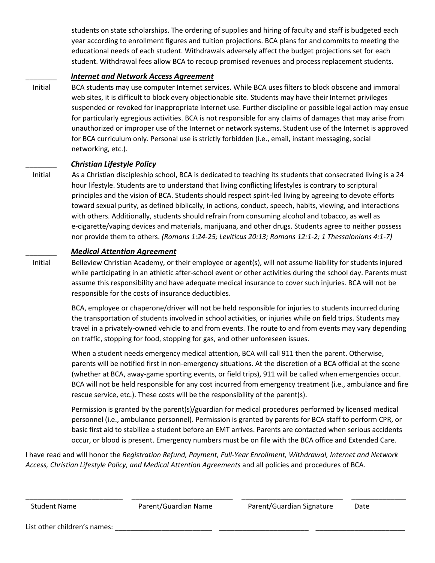students on state scholarships. The ordering of supplies and hiring of faculty and staff is budgeted each year according to enrollment figures and tuition projections. BCA plans for and commits to meeting the educational needs of each student. Withdrawals adversely affect the budget projections set for each student. Withdrawal fees allow BCA to recoup promised revenues and process replacement students.

#### \_\_\_\_\_\_\_\_ *Internet and Network Access Agreement*

 Initial BCA students may use computer Internet services. While BCA uses filters to block obscene and immoral web sites, it is difficult to block every objectionable site. Students may have their Internet privileges suspended or revoked for inappropriate Internet use. Further discipline or possible legal action may ensue for particularly egregious activities. BCA is not responsible for any claims of damages that may arise from unauthorized or improper use of the Internet or network systems. Student use of the Internet is approved for BCA curriculum only. Personal use is strictly forbidden (i.e., email, instant messaging, social networking, etc.).

#### \_\_\_\_\_\_\_\_ *Christian Lifestyle Policy*

 Initial As a Christian discipleship school, BCA is dedicated to teaching its students that consecrated living is a 24 hour lifestyle. Students are to understand that living conflicting lifestyles is contrary to scriptural principles and the vision of BCA. Students should respect spirit-led living by agreeing to devote efforts toward sexual purity, as defined biblically, in actions, conduct, speech, habits, viewing, and interactions with others. Additionally, students should refrain from consuming alcohol and tobacco, as well as e-cigarette/vaping devices and materials, marijuana, and other drugs. Students agree to neither possess nor provide them to others. *(Romans 1:24-25; Leviticus 20:13; Romans 12:1-2; 1 Thessalonians 4:1-7)*

#### \_\_\_\_\_\_\_\_ *Medical Attention Agreement*

 Initial Belleview Christian Academy, or their employee or agent(s), will not assume liability for students injured while participating in an athletic after-school event or other activities during the school day. Parents must assume this responsibility and have adequate medical insurance to cover such injuries. BCA will not be responsible for the costs of insurance deductibles.

> BCA, employee or chaperone/driver will not be held responsible for injuries to students incurred during the transportation of students involved in school activities, or injuries while on field trips. Students may travel in a privately-owned vehicle to and from events. The route to and from events may vary depending on traffic, stopping for food, stopping for gas, and other unforeseen issues.

> When a student needs emergency medical attention, BCA will call 911 then the parent. Otherwise, parents will be notified first in non-emergency situations. At the discretion of a BCA official at the scene (whether at BCA, away-game sporting events, or field trips), 911 will be called when emergencies occur. BCA will not be held responsible for any cost incurred from emergency treatment (i.e., ambulance and fire rescue service, etc.). These costs will be the responsibility of the parent(s).

 Permission is granted by the parent(s)/guardian for medical procedures performed by licensed medical personnel (i.e., ambulance personnel). Permission is granted by parents for BCA staff to perform CPR, or basic first aid to stabilize a student before an EMT arrives. Parents are contacted when serious accidents occur, or blood is present. Emergency numbers must be on file with the BCA office and Extended Care.

I have read and will honor the *Registration Refund, Payment, Full-Year Enrollment, Withdrawal, Internet and Network Access, Christian Lifestyle Policy, and Medical Attention Agreements* and all policies and procedures of BCA.

\_\_\_\_\_\_\_\_\_\_\_\_\_\_\_\_\_\_\_\_\_\_\_\_\_ \_\_\_\_\_\_\_\_\_\_\_\_\_\_\_\_\_\_\_\_\_\_\_\_\_\_ \_\_\_\_\_\_\_\_\_\_\_\_\_\_\_\_\_\_\_\_\_\_\_\_\_\_ \_\_\_\_\_\_\_\_\_\_\_\_\_\_

List other children's names: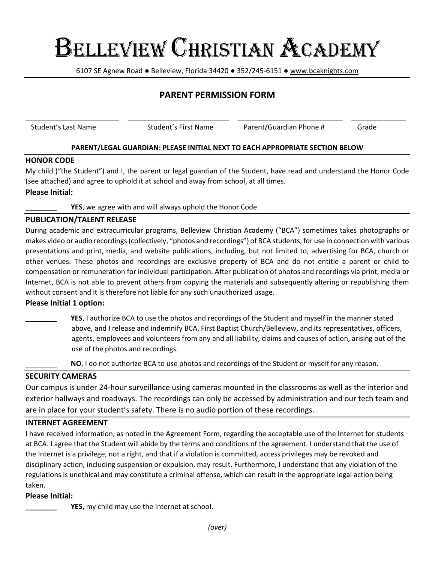6107 SE Agnew Road ● Belleview, Florida 34420 ● 352/245-6151 ● [www.bcaknights.com](http://www.bcaknights.com/)

# **PARENT PERMISSION FORM**

\_\_\_\_\_\_\_\_\_\_\_\_\_\_\_\_\_\_\_\_\_\_\_\_ \_\_\_\_\_\_\_\_\_\_\_\_\_\_\_\_\_\_\_\_\_\_\_\_\_\_ \_\_\_\_\_\_\_\_\_\_\_\_\_\_\_\_\_\_\_\_\_\_\_\_\_\_\_ \_\_\_\_\_\_\_\_\_\_\_\_\_\_

Student's Last Name Student's First Name Parent/Guardian Phone # Grade

#### **PARENT/LEGAL GUARDIAN: PLEASE INITIAL NEXT TO EACH APPROPRIATE SECTION BELOW**

#### **HONOR CODE**

My child ("the Student") and I, the parent or legal guardian of the Student, have read and understand the Honor Code (see attached) and agree to uphold it at school and away from school, at all times.

**Please Initial:**

YES, we agree with and will always uphold the Honor Code.

#### **PUBLICATION/TALENT RELEASE**

During academic and extracurricular programs, Belleview Christian Academy ("BCA") sometimes takes photographs or makes video or audio recordings (collectively, "photos and recordings") of BCA students, for use in connection with various presentations and print, media, and website publications, including, but not limited to, advertising for BCA, church or other venues. These photos and recordings are exclusive property of BCA and do not entitle a parent or child to compensation or remuneration for individual participation. After publication of photos and recordings via print, media or Internet, BCA is not able to prevent others from copying the materials and subsequently altering or republishing them without consent and it is therefore not liable for any such unauthorized usage.

#### **Please Initial 1 option:**

**YES**, I authorize BCA to use the photos and recordings of the Student and myself in the manner stated above, and I release and indemnify BCA, First Baptist Church/Belleview, and its representatives, officers, agents, employees and volunteers from any and all liability, claims and causes of action, arising out of the use of the photos and recordings.

NO, I do not authorize BCA to use photos and recordings of the Student or myself for any reason.

#### **SECURITY CAMERAS**

Our campus is under 24-hour surveillance using cameras mounted in the classrooms as well as the interior and exterior hallways and roadways. The recordings can only be accessed by administration and our tech team and are in place for your student's safety. There is no audio portion of these recordings.

#### **INTERNET AGREEMENT**

I have received information, as noted in the Agreement Form, regarding the acceptable use of the Internet for students at BCA. I agree that the Student will abide by the terms and conditions of the agreement. I understand that the use of the Internet is a privilege, not a right, and that if a violation is committed, access privileges may be revoked and disciplinary action, including suspension or expulsion, may result. Furthermore, I understand that any violation of the regulations is unethical and may constitute a criminal offense, which can result in the appropriate legal action being taken.

#### **Please Initial:**

**YES**, my child may use the Internet at school.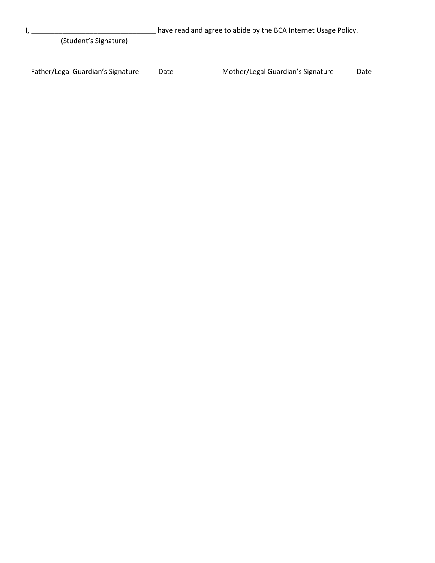| have read and agree to abide by the BCA Internet Usage Policy. |      |                                   |      |
|----------------------------------------------------------------|------|-----------------------------------|------|
| (Student's Signature)                                          |      |                                   |      |
|                                                                |      |                                   |      |
| Father/Legal Guardian's Signature                              | Date | Mother/Legal Guardian's Signature | Date |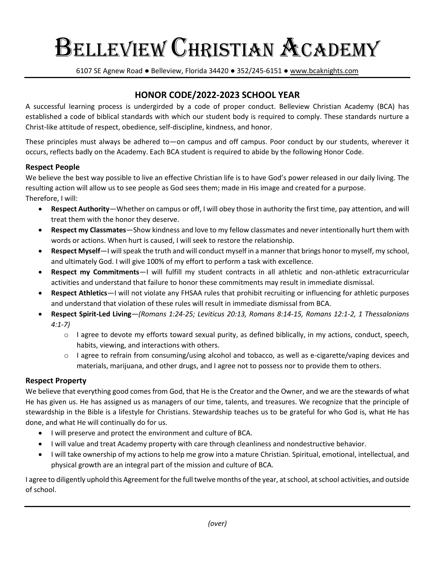6107 SE Agnew Road ● Belleview, Florida 34420 ● 352/245-6151 ● [www.bcaknights.com](http://www.bcaknights.com/)

# **HONOR CODE/2022-2023 SCHOOL YEAR**

A successful learning process is undergirded by a code of proper conduct. Belleview Christian Academy (BCA) has established a code of biblical standards with which our student body is required to comply. These standards nurture a Christ-like attitude of respect, obedience, self-discipline, kindness, and honor.

These principles must always be adhered to—on campus and off campus. Poor conduct by our students, wherever it occurs, reflects badly on the Academy. Each BCA student is required to abide by the following Honor Code.

#### **Respect People**

We believe the best way possible to live an effective Christian life is to have God's power released in our daily living. The resulting action will allow us to see people as God sees them; made in His image and created for a purpose. Therefore, I will:

- **Respect Authority**—Whether on campus or off, I will obey those in authority the first time, pay attention, and will treat them with the honor they deserve.
- **Respect my Classmates**—Show kindness and love to my fellow classmates and never intentionally hurt them with words or actions. When hurt is caused, I will seek to restore the relationship.
- **Respect Myself**—I will speak the truth and will conduct myself in a manner that brings honor to myself, my school, and ultimately God. I will give 100% of my effort to perform a task with excellence.
- **Respect my Commitments**—I will fulfill my student contracts in all athletic and non-athletic extracurricular activities and understand that failure to honor these commitments may result in immediate dismissal.
- **Respect Athletics**—I will not violate any FHSAA rules that prohibit recruiting or influencing for athletic purposes and understand that violation of these rules will result in immediate dismissal from BCA.
- **Respect Spirit-Led Living***—(Romans 1:24-25; Leviticus 20:13, Romans 8:14-15, Romans 12:1-2, 1 Thessalonians 4:1-7)*
	- $\circ$  I agree to devote my efforts toward sexual purity, as defined biblically, in my actions, conduct, speech, habits, viewing, and interactions with others.
	- o I agree to refrain from consuming/using alcohol and tobacco, as well as e-cigarette/vaping devices and materials, marijuana, and other drugs, and I agree not to possess nor to provide them to others.

### **Respect Property**

We believe that everything good comes from God, that He is the Creator and the Owner, and we are the stewards of what He has given us. He has assigned us as managers of our time, talents, and treasures. We recognize that the principle of stewardship in the Bible is a lifestyle for Christians. Stewardship teaches us to be grateful for who God is, what He has done, and what He will continually do for us.

- I will preserve and protect the environment and culture of BCA.
- I will value and treat Academy property with care through cleanliness and nondestructive behavior.
- I will take ownership of my actions to help me grow into a mature Christian. Spiritual, emotional, intellectual, and physical growth are an integral part of the mission and culture of BCA.

I agree to diligently uphold this Agreement for the full twelve months of the year, at school, at school activities, and outside of school.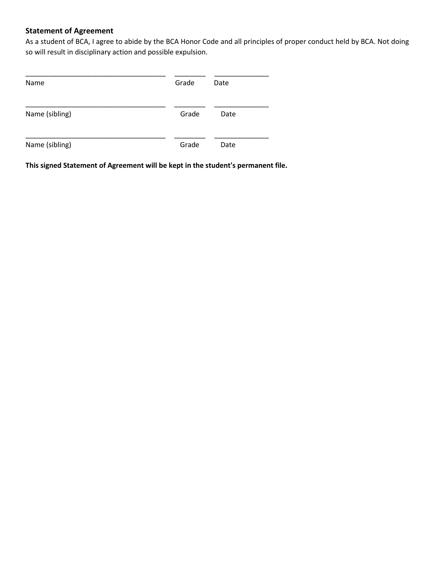### **Statement of Agreement**

As a student of BCA, I agree to abide by the BCA Honor Code and all principles of proper conduct held by BCA. Not doing so will result in disciplinary action and possible expulsion.

| Name           | Grade | Date |
|----------------|-------|------|
| Name (sibling) | Grade | Date |
| Name (sibling) | Grade | Date |

**This signed Statement of Agreement will be kept in the student's permanent file.**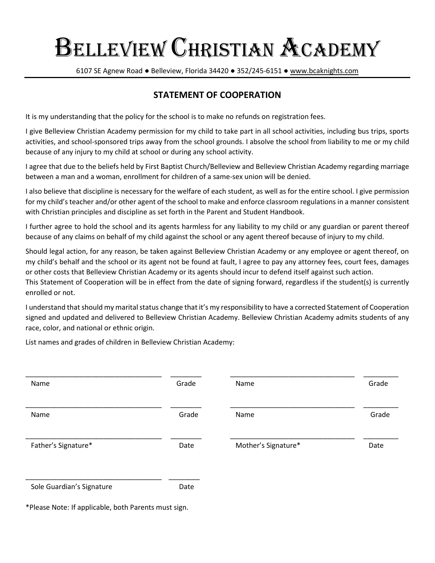6107 SE Agnew Road ● Belleview, Florida 34420 ● 352/245-6151 ● [www.bcaknights.com](http://www.bcaknights.com/)

# **STATEMENT OF COOPERATION**

It is my understanding that the policy for the school is to make no refunds on registration fees.

I give Belleview Christian Academy permission for my child to take part in all school activities, including bus trips, sports activities, and school-sponsored trips away from the school grounds. I absolve the school from liability to me or my child because of any injury to my child at school or during any school activity.

I agree that due to the beliefs held by First Baptist Church/Belleview and Belleview Christian Academy regarding marriage between a man and a woman, enrollment for children of a same-sex union will be denied.

I also believe that discipline is necessary for the welfare of each student, as well as for the entire school. I give permission for my child's teacher and/or other agent of the school to make and enforce classroom regulations in a manner consistent with Christian principles and discipline as set forth in the Parent and Student Handbook.

I further agree to hold the school and its agents harmless for any liability to my child or any guardian or parent thereof because of any claims on behalf of my child against the school or any agent thereof because of injury to my child.

Should legal action, for any reason, be taken against Belleview Christian Academy or any employee or agent thereof, on my child's behalf and the school or its agent not be found at fault, I agree to pay any attorney fees, court fees, damages or other costs that Belleview Christian Academy or its agents should incur to defend itself against such action. This Statement of Cooperation will be in effect from the date of signing forward, regardless if the student(s) is currently enrolled or not.

I understand that should my marital status change that it's my responsibility to have a corrected Statement of Cooperation signed and updated and delivered to Belleview Christian Academy. Belleview Christian Academy admits students of any race, color, and national or ethnic origin.

List names and grades of children in Belleview Christian Academy:

| Name                      | Grade | Name                | Grade |
|---------------------------|-------|---------------------|-------|
| Name                      | Grade | Name                | Grade |
| Father's Signature*       | Date  | Mother's Signature* | Date  |
| Sole Guardian's Signature | Date  |                     |       |

\*Please Note: If applicable, both Parents must sign.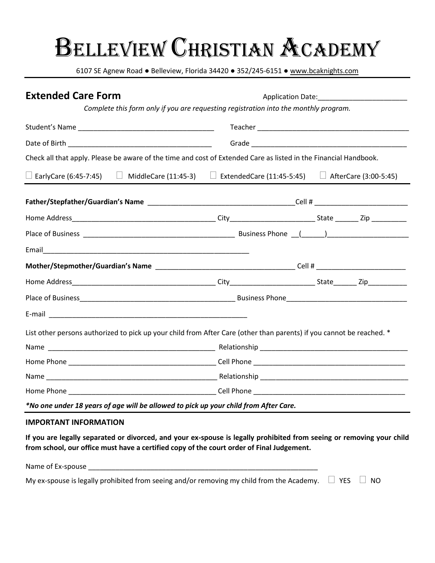6107 SE Agnew Road ● Belleview, Florida 34420 ● 352/245-6151 ● [www.bcaknights.com](http://www.bcaknights.com/)

| <b>Extended Care Form</b>                                                                                              |  |  |  |
|------------------------------------------------------------------------------------------------------------------------|--|--|--|
| Complete this form only if you are requesting registration into the monthly program.                                   |  |  |  |
|                                                                                                                        |  |  |  |
|                                                                                                                        |  |  |  |
| Check all that apply. Please be aware of the time and cost of Extended Care as listed in the Financial Handbook.       |  |  |  |
| $\Box$ EarlyCare (6:45-7:45) $\Box$ MiddleCare (11:45-3) $\Box$ ExtendedCare (11:45-5:45) $\Box$ AfterCare (3:00-5:45) |  |  |  |
|                                                                                                                        |  |  |  |
|                                                                                                                        |  |  |  |
|                                                                                                                        |  |  |  |
|                                                                                                                        |  |  |  |
|                                                                                                                        |  |  |  |
|                                                                                                                        |  |  |  |
|                                                                                                                        |  |  |  |
|                                                                                                                        |  |  |  |
| List other persons authorized to pick up your child from After Care (other than parents) if you cannot be reached. *   |  |  |  |
|                                                                                                                        |  |  |  |
|                                                                                                                        |  |  |  |
|                                                                                                                        |  |  |  |
|                                                                                                                        |  |  |  |
| *No one under 18 years of age will be allowed to pick up your child from After Care.                                   |  |  |  |

#### **IMPORTANT INFORMATION**

**If you are legally separated or divorced, and your ex-spouse is legally prohibited from seeing or removing your child from school, our office must have a certified copy of the court order of Final Judgement.**

| Name of Ex-spouse                                                                                              |  |
|----------------------------------------------------------------------------------------------------------------|--|
| My ex-spouse is legally prohibited from seeing and/or removing my child from the Academy. $\Box$ YES $\Box$ NO |  |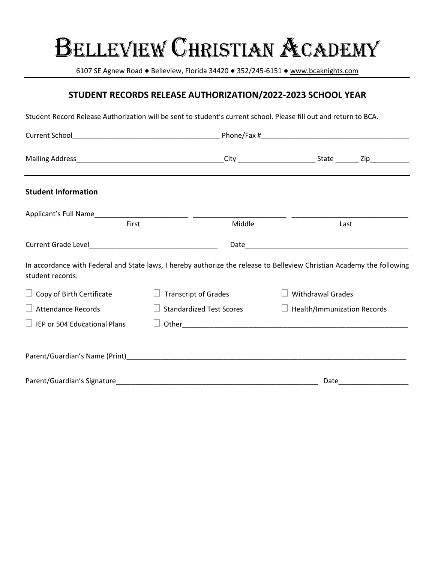6107 SE Agnew Road ● Belleview, Florida 34420 ● 352/245-6151 ● [www.bcaknights.com](http://www.bcaknights.com/)

# **STUDENT RECORDS RELEASE AUTHORIZATION/2022-2023 SCHOOL YEAR**

Student Record Release Authorization will be sent to student's current school. Please fill out and return to BCA.

| <b>Student Information</b>                                                                                                                 |                                 |        |                                    |  |
|--------------------------------------------------------------------------------------------------------------------------------------------|---------------------------------|--------|------------------------------------|--|
|                                                                                                                                            |                                 |        |                                    |  |
| First                                                                                                                                      |                                 | Middle | Last                               |  |
|                                                                                                                                            |                                 |        |                                    |  |
| In accordance with Federal and State laws, I hereby authorize the release to Belleview Christian Academy the following<br>student records: |                                 |        |                                    |  |
| $\Box$ Copy of Birth Certificate                                                                                                           | <b>Transcript of Grades</b>     |        | <b>Withdrawal Grades</b>           |  |
| $\Box$ Attendance Records                                                                                                                  | <b>Standardized Test Scores</b> |        | $\Box$ Health/Immunization Records |  |
|                                                                                                                                            |                                 |        |                                    |  |
|                                                                                                                                            |                                 |        |                                    |  |
| Parent/Guardian's Signature                                                                                                                |                                 |        | Date                               |  |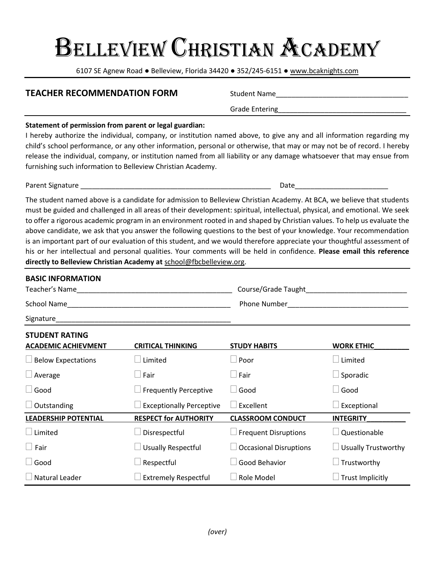6107 SE Agnew Road ● Belleview, Florida 34420 ● 352/245-6151 ● [www.bcaknights.com](http://www.bcaknights.com/)

#### **TEACHER RECOMMENDATION FORM** Student Name\_\_\_\_\_\_\_\_\_\_\_\_\_\_\_\_\_\_\_\_\_\_\_\_\_\_\_\_\_\_\_\_\_\_

Grade Entering\_\_\_\_\_\_\_\_\_\_\_\_\_\_\_\_\_\_\_\_\_\_\_\_\_\_\_\_\_\_\_\_\_

#### **Statement of permission from parent or legal guardian:**

I hereby authorize the individual, company, or institution named above, to give any and all information regarding my child's school performance, or any other information, personal or otherwise, that may or may not be of record. I hereby release the individual, company, or institution named from all liability or any damage whatsoever that may ensue from furnishing such information to Belleview Christian Academy.

Parent Signature \_\_\_\_\_\_\_\_\_\_\_\_\_\_\_\_\_\_\_\_\_\_\_\_\_\_\_\_\_\_\_\_\_\_\_\_\_\_\_\_\_\_\_\_\_\_\_\_\_ Date\_\_\_\_\_\_\_\_\_\_\_\_\_\_\_\_\_\_\_\_\_\_\_\_

The student named above is a candidate for admission to Belleview Christian Academy. At BCA, we believe that students must be guided and challenged in all areas of their development: spiritual, intellectual, physical, and emotional. We seek to offer a rigorous academic program in an environment rooted in and shaped by Christian values. To help us evaluate the above candidate, we ask that you answer the following questions to the best of your knowledge. Your recommendation is an important part of our evaluation of this student, and we would therefore appreciate your thoughtful assessment of his or her intellectual and personal qualities. Your comments will be held in confidence. **Please email this reference directly to Belleview Christian Academy at** [school@fbcbelleview.org.](mailto:school@fbcbelleview.org)

| <b>BASIC INFORMATION</b>                            |                                 |                                                     |                            |
|-----------------------------------------------------|---------------------------------|-----------------------------------------------------|----------------------------|
|                                                     |                                 | Course/Grade Taught <b>Course</b> Course and Taught |                            |
|                                                     |                                 |                                                     |                            |
|                                                     |                                 |                                                     |                            |
| <b>STUDENT RATING</b><br><b>ACADEMIC ACHIEVMENT</b> | <b>CRITICAL THINKING</b>        | <b>STUDY HABITS</b>                                 | <b>WORK ETHIC</b>          |
| $\Box$ Below Expectations                           | Limited                         | $\Box$ Poor                                         |                            |
| $\Box$ Average                                      | Fair                            | $\Box$ Fair                                         | $\Box$ Sporadic            |
| $\Box$ Good                                         | <b>Frequently Perceptive</b>    | Good                                                | $\Box$ Good                |
| $\Box$ Outstanding                                  | <b>Exceptionally Perceptive</b> | Excellent                                           | Exceptional                |
| <b>LEADERSHIP POTENTIAL</b>                         | <b>RESPECT for AUTHORITY</b>    | <b>CLASSROOM CONDUCT</b>                            | <b>INTEGRITY</b>           |
|                                                     | Disrespectful                   | $\Box$ Frequent Disruptions                         | Questionable               |
| $\Box$ Fair                                         | <b>Usually Respectful</b>       | $\Box$ Occasional Disruptions                       | $\Box$ Usually Trustworthy |
| $\Box$ Good                                         | Respectful                      | Good Behavior                                       | $\perp$ Trustworthy        |
| $\Box$ Natural Leader                               | <b>Extremely Respectful</b>     | Role Model                                          | $\perp$ Trust Implicitly   |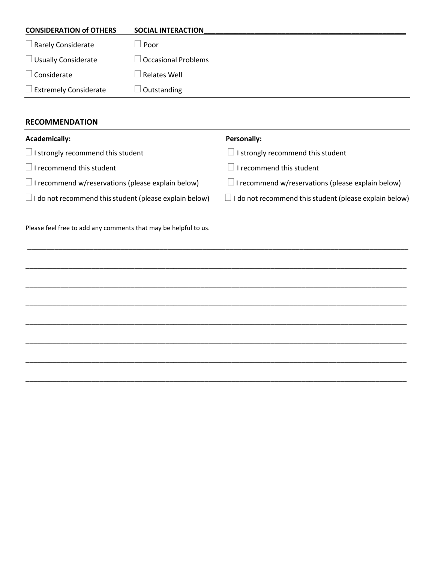| <b>CONSIDERATION of OTHERS</b> | <b>SOCIAL INTERACTION</b>  |
|--------------------------------|----------------------------|
| $\Box$ Rarely Considerate      | Poor                       |
| $\Box$ Usually Considerate     | <b>Occasional Problems</b> |
| Considerate                    | Relates Well               |
| $\Box$ Extremely Considerate   | Outstanding                |
|                                |                            |

### **RECOMMENDATION**

| <b>Academically:</b>                                            | Personally:                                                   |
|-----------------------------------------------------------------|---------------------------------------------------------------|
| $\Box$ I strongly recommend this student                        | I strongly recommend this student                             |
| $\Box$ I recommend this student                                 | I recommend this student                                      |
| $\Box$ I recommend w/reservations (please explain below)        | $\Box$ I recommend w/reservations (please explain below)      |
| $\Box$ I do not recommend this student (please explain below)   | $\Box$ I do not recommend this student (please explain below) |
|                                                                 |                                                               |
| Please feel free to add any comments that may be helpful to us. |                                                               |

\_\_\_\_\_\_\_\_\_\_\_\_\_\_\_\_\_\_\_\_\_\_\_\_\_\_\_\_\_\_\_\_\_\_\_\_\_\_\_\_\_\_\_\_\_\_\_\_\_\_\_\_\_\_\_\_\_\_\_\_\_\_\_\_\_\_\_\_\_\_\_\_\_\_\_\_\_\_\_\_\_\_\_\_\_\_\_\_\_\_\_\_\_\_\_\_\_\_

\_\_\_\_\_\_\_\_\_\_\_\_\_\_\_\_\_\_\_\_\_\_\_\_\_\_\_\_\_\_\_\_\_\_\_\_\_\_\_\_\_\_\_\_\_\_\_\_\_\_\_\_\_\_\_\_\_\_\_\_\_\_\_\_\_\_\_\_\_\_\_\_\_\_\_\_\_\_\_\_\_\_\_\_\_\_\_\_\_\_\_\_\_\_\_\_\_\_

\_\_\_\_\_\_\_\_\_\_\_\_\_\_\_\_\_\_\_\_\_\_\_\_\_\_\_\_\_\_\_\_\_\_\_\_\_\_\_\_\_\_\_\_\_\_\_\_\_\_\_\_\_\_\_\_\_\_\_\_\_\_\_\_\_\_\_\_\_\_\_\_\_\_\_\_\_\_\_\_\_\_\_\_\_\_\_\_\_\_\_\_\_\_\_\_\_\_

\_\_\_\_\_\_\_\_\_\_\_\_\_\_\_\_\_\_\_\_\_\_\_\_\_\_\_\_\_\_\_\_\_\_\_\_\_\_\_\_\_\_\_\_\_\_\_\_\_\_\_\_\_\_\_\_\_\_\_\_\_\_\_\_\_\_\_\_\_\_\_\_\_\_\_\_\_\_\_\_\_\_\_\_\_\_\_\_\_\_\_\_\_\_\_\_\_\_

\_\_\_\_\_\_\_\_\_\_\_\_\_\_\_\_\_\_\_\_\_\_\_\_\_\_\_\_\_\_\_\_\_\_\_\_\_\_\_\_\_\_\_\_\_\_\_\_\_\_\_\_\_\_\_\_\_\_\_\_\_\_\_\_\_\_\_\_\_\_\_\_\_\_\_\_\_\_\_\_\_\_\_\_\_\_\_\_\_\_\_\_\_\_\_\_\_\_

\_\_\_\_\_\_\_\_\_\_\_\_\_\_\_\_\_\_\_\_\_\_\_\_\_\_\_\_\_\_\_\_\_\_\_\_\_\_\_\_\_\_\_\_\_\_\_\_\_\_\_\_\_\_\_\_\_\_\_\_\_\_\_\_\_\_\_\_\_\_\_\_\_\_\_\_\_\_\_\_\_\_\_\_\_\_\_\_\_\_\_\_\_\_\_\_\_\_

\_\_\_\_\_\_\_\_\_\_\_\_\_\_\_\_\_\_\_\_\_\_\_\_\_\_\_\_\_\_\_\_\_\_\_\_\_\_\_\_\_\_\_\_\_\_\_\_\_\_\_\_\_\_\_\_\_\_\_\_\_\_\_\_\_\_\_\_\_\_\_\_\_\_\_\_\_\_\_\_\_\_\_\_\_\_\_\_\_\_\_\_\_\_\_\_\_\_

\_\_\_\_\_\_\_\_\_\_\_\_\_\_\_\_\_\_\_\_\_\_\_\_\_\_\_\_\_\_\_\_\_\_\_\_\_\_\_\_\_\_\_\_\_\_\_\_\_\_\_\_\_\_\_\_\_\_\_\_\_\_\_\_\_\_\_\_\_\_\_\_\_\_\_\_\_\_\_\_\_\_\_\_\_\_\_\_\_\_\_\_\_\_\_\_\_\_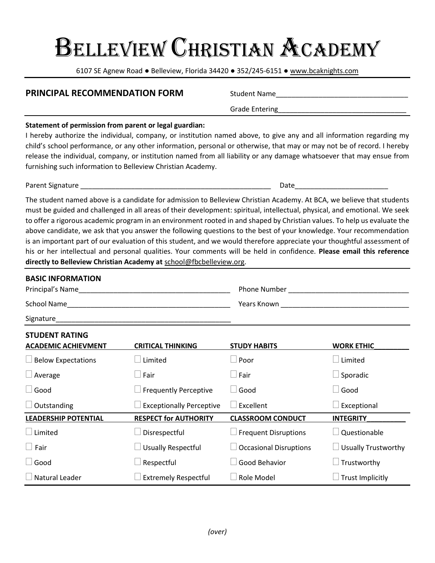6107 SE Agnew Road ● Belleview, Florida 34420 ● 352/245-6151 ● [www.bcaknights.com](http://www.bcaknights.com/)

#### **PRINCIPAL RECOMMENDATION FORM** Student Name\_\_\_\_\_\_\_\_\_\_\_\_\_\_\_\_\_\_\_\_\_\_\_\_\_\_\_\_\_\_\_\_\_\_

Grade Entering\_\_\_\_\_\_\_\_\_\_\_\_\_\_\_\_\_\_\_\_\_\_\_\_\_\_\_\_\_\_\_\_\_

#### **Statement of permission from parent or legal guardian:**

I hereby authorize the individual, company, or institution named above, to give any and all information regarding my child's school performance, or any other information, personal or otherwise, that may or may not be of record. I hereby release the individual, company, or institution named from all liability or any damage whatsoever that may ensue from furnishing such information to Belleview Christian Academy.

Parent Signature \_\_\_\_\_\_\_\_\_\_\_\_\_\_\_\_\_\_\_\_\_\_\_\_\_\_\_\_\_\_\_\_\_\_\_\_\_\_\_\_\_\_\_\_\_\_\_\_\_ Date\_\_\_\_\_\_\_\_\_\_\_\_\_\_\_\_\_\_\_\_\_\_\_\_

The student named above is a candidate for admission to Belleview Christian Academy. At BCA, we believe that students must be guided and challenged in all areas of their development: spiritual, intellectual, physical, and emotional. We seek to offer a rigorous academic program in an environment rooted in and shaped by Christian values. To help us evaluate the above candidate, we ask that you answer the following questions to the best of your knowledge. Your recommendation is an important part of our evaluation of this student, and we would therefore appreciate your thoughtful assessment of his or her intellectual and personal qualities. Your comments will be held in confidence. **Please email this reference directly to Belleview Christian Academy at** [school@fbcbelleview.org.](mailto:school@fbcbelleview.org)

| <b>BASIC INFORMATION</b>                            |                                 |                                |                            |
|-----------------------------------------------------|---------------------------------|--------------------------------|----------------------------|
| Principal's Name                                    |                                 | <b>Phone Number Example 20</b> |                            |
|                                                     |                                 |                                |                            |
|                                                     |                                 |                                |                            |
| <b>STUDENT RATING</b><br><b>ACADEMIC ACHIEVMENT</b> | <b>CRITICAL THINKING</b>        | <b>STUDY HABITS</b>            | <b>WORK ETHIC</b>          |
| $\Box$ Below Expectations                           | Limited                         | $\Box$ Poor                    | Limited                    |
| $\Box$ Average                                      | Fair                            | $\Box$ Fair                    | $\Box$ Sporadic            |
| $\Box$ Good                                         | <b>Frequently Perceptive</b>    | Good                           | Good                       |
| $\Box$ Outstanding                                  | <b>Exceptionally Perceptive</b> | Excellent                      | Exceptional                |
| <b>LEADERSHIP POTENTIAL</b>                         | <b>RESPECT for AUTHORITY</b>    | <b>CLASSROOM CONDUCT</b>       | <b>INTEGRITY</b>           |
|                                                     | Disrespectful                   | $\Box$ Frequent Disruptions    | Questionable               |
| $\Box$ Fair                                         | <b>Usually Respectful</b>       | $\Box$ Occasional Disruptions  | $\Box$ Usually Trustworthy |
| $\Box$ Good                                         | Respectful                      | Good Behavior                  | Frustworthy                |
| Natural Leader                                      | <b>Extremely Respectful</b>     | Role Model                     | Frust Implicitly           |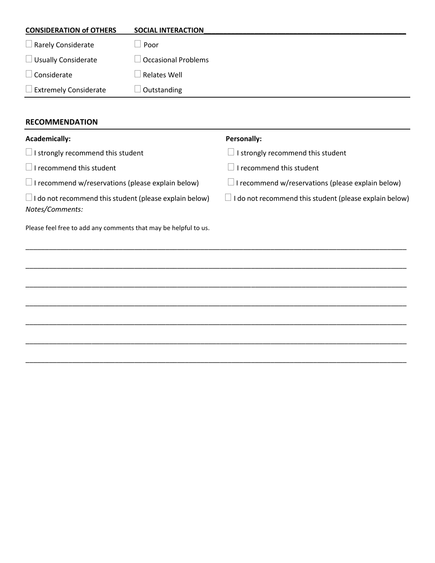| <b>CONSIDERATION of OTHERS</b> | <b>SOCIAL INTERACTION</b>  |
|--------------------------------|----------------------------|
| $\Box$ Rarely Considerate      | Poor                       |
| $\Box$ Usually Considerate     | $\Box$ Occasional Problems |
| Considerate                    | Relates Well               |
| $\Box$ Extremely Considerate   | Outstanding                |
|                                |                            |

### **RECOMMENDATION**

| <b>Academically:</b>                                                             | Personally:                                                      |
|----------------------------------------------------------------------------------|------------------------------------------------------------------|
| $\Box$ I strongly recommend this student                                         | I strongly recommend this student                                |
| $\Box$ I recommend this student                                                  | I recommend this student                                         |
| $\Box$ I recommend w/reservations (please explain below)                         | I recommend w/reservations (please explain below)                |
| $\Box$ I do not recommend this student (please explain below)<br>Notes/Comments: | I do not recommend this student (please explain below)<br>$\Box$ |
| Please feel free to add any comments that may be helpful to us.                  |                                                                  |
|                                                                                  |                                                                  |
|                                                                                  |                                                                  |
|                                                                                  |                                                                  |
|                                                                                  |                                                                  |
|                                                                                  |                                                                  |
|                                                                                  |                                                                  |
|                                                                                  |                                                                  |
|                                                                                  |                                                                  |
|                                                                                  |                                                                  |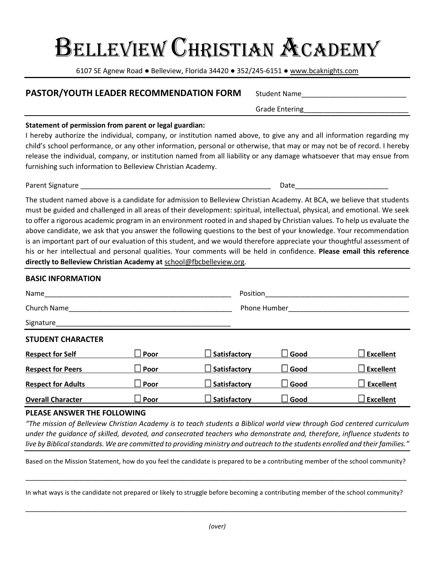# Belleview Christian Academy

6107 SE Agnew Road ● Belleview, Florida 34420 ● 352/245-6151 ● [www.bcaknights.com](http://www.bcaknights.com/)

# **PASTOR/YOUTH LEADER RECOMMENDATION FORM** Student Name

#### **Statement of permission from parent or legal guardian:**

I hereby authorize the individual, company, or institution named above, to give any and all information regarding my child's school performance, or any other information, personal or otherwise, that may or may not be of record. I hereby release the individual, company, or institution named from all liability or any damage whatsoever that may ensue from furnishing such information to Belleview Christian Academy.

Parent Signature \_\_\_\_\_\_\_\_\_\_\_\_\_\_\_\_\_\_\_\_\_\_\_\_\_\_\_\_\_\_\_\_\_\_\_\_\_\_\_\_\_\_\_\_\_\_\_\_\_ Date\_\_\_\_\_\_\_\_\_\_\_\_\_\_\_\_\_\_\_\_\_\_\_\_

The student named above is a candidate for admission to Belleview Christian Academy. At BCA, we believe that students must be guided and challenged in all areas of their development: spiritual, intellectual, physical, and emotional. We seek to offer a rigorous academic program in an environment rooted in and shaped by Christian values. To help us evaluate the above candidate, we ask that you answer the following questions to the best of your knowledge. Your recommendation is an important part of our evaluation of this student, and we would therefore appreciate your thoughtful assessment of his or her intellectual and personal qualities. Your comments will be held in confidence. **Please email this reference directly to Belleview Christian Academy at** [school@fbcbelleview.org.](mailto:school@fbcbelleview.org)

# **BASIC INFORMATION** Name was a set of the control of the control of the control of the control of the control of the control of the control of the control of the control of the control of the control of the control of the control of the contr Church Name\_\_\_\_\_\_\_\_\_\_\_\_\_\_\_\_\_\_\_\_\_\_\_\_\_\_\_\_\_\_\_\_\_\_\_\_\_\_\_\_\_\_ Phone Humber\_\_\_\_\_\_\_\_\_\_\_\_\_\_\_\_\_\_\_\_\_\_\_\_\_\_\_\_\_\_\_ Signature **STUDENT CHARACTER Respect for Self Poor Satisfactory Good Excellent Respect for Peers** *Respect for Peers Poor* **<b>B Satisfactory B Good Excellent Respect for Adults Poor Satisfactory Good Excellent Overall Character Poor Satisfactory Good Excellent**

#### **PLEASE ANSWER THE FOLLOWING**

*"The mission of Belleview Christian Academy is to teach students a Biblical world view through God centered curriculum under the guidance of skilled, devoted, and consecrated teachers who demonstrate and, therefore, influence students to live by Biblical standards. We are committed to providing ministry and outreach to the students enrolled and their families."*

Based on the Mission Statement, how do you feel the candidate is prepared to be a contributing member of the school community?

\_\_\_\_\_\_\_\_\_\_\_\_\_\_\_\_\_\_\_\_\_\_\_\_\_\_\_\_\_\_\_\_\_\_\_\_\_\_\_\_\_\_\_\_\_\_\_\_\_\_\_\_\_\_\_\_\_\_\_\_\_\_\_\_\_\_\_\_\_\_\_\_\_\_\_\_\_\_\_\_\_\_\_\_\_\_\_\_\_\_\_\_\_\_\_\_\_\_

In what ways is the candidate not prepared or likely to struggle before becoming a contributing member of the school community?

\_\_\_\_\_\_\_\_\_\_\_\_\_\_\_\_\_\_\_\_\_\_\_\_\_\_\_\_\_\_\_\_\_\_\_\_\_\_\_\_\_\_\_\_\_\_\_\_\_\_\_\_\_\_\_\_\_\_\_\_\_\_\_\_\_\_\_\_\_\_\_\_\_\_\_\_\_\_\_\_\_\_\_\_\_\_\_\_\_\_\_\_\_\_\_\_\_\_

Grade Entering\_\_\_\_\_\_\_\_\_\_\_\_\_\_\_\_\_\_\_\_\_\_\_\_\_\_\_